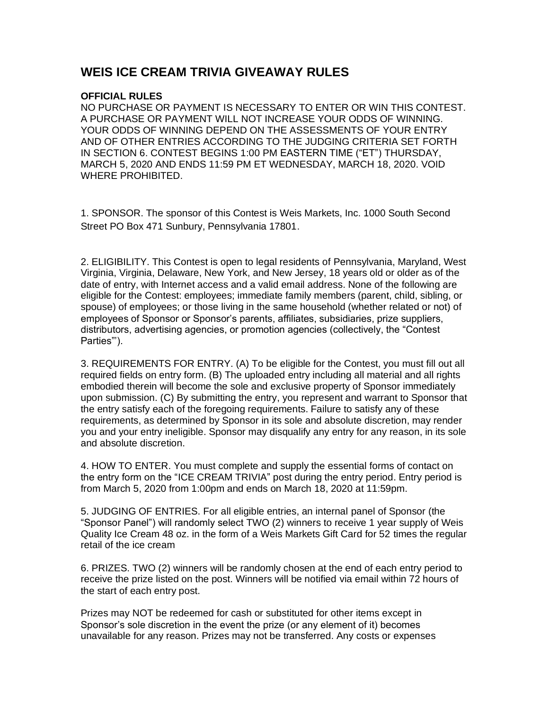## **WEIS ICE CREAM TRIVIA GIVEAWAY RULES**

## **OFFICIAL RULES**

 NO PURCHASE OR PAYMENT IS NECESSARY TO ENTER OR WIN THIS CONTEST. A PURCHASE OR PAYMENT WILL NOT INCREASE YOUR ODDS OF WINNING. YOUR ODDS OF WINNING DEPEND ON THE ASSESSMENTS OF YOUR ENTRY AND OF OTHER ENTRIES ACCORDING TO THE JUDGING CRITERIA SET FORTH IN SECTION 6. CONTEST BEGINS 1:00 PM EASTERN TIME ("ET") THURSDAY, MARCH 5, 2020 AND ENDS 11:59 PM ET WEDNESDAY, MARCH 18, 2020. VOID WHERE PROHIBITED.

 1. SPONSOR. The sponsor of this Contest is Weis Markets, Inc. 1000 South Second Street PO Box 471 Sunbury, Pennsylvania 17801.

 2. ELIGIBILITY. This Contest is open to legal residents of Pennsylvania, Maryland, West Virginia, Virginia, Delaware, New York, and New Jersey, 18 years old or older as of the date of entry, with Internet access and a valid email address. None of the following are eligible for the Contest: employees; immediate family members (parent, child, sibling, or spouse) of employees; or those living in the same household (whether related or not) of employees of Sponsor or Sponsor's parents, affiliates, subsidiaries, prize suppliers, distributors, advertising agencies, or promotion agencies (collectively, the "Contest Parties"').

 3. REQUIREMENTS FOR ENTRY. (A) To be eligible for the Contest, you must fill out all required fields on entry form. (B) The uploaded entry including all material and all rights embodied therein will become the sole and exclusive property of Sponsor immediately upon submission. (C) By submitting the entry, you represent and warrant to Sponsor that the entry satisfy each of the foregoing requirements. Failure to satisfy any of these requirements, as determined by Sponsor in its sole and absolute discretion, may render you and your entry ineligible. Sponsor may disqualify any entry for any reason, in its sole and absolute discretion.

 4. HOW TO ENTER. You must complete and supply the essential forms of contact on the entry form on the "ICE CREAM TRIVIA" post during the entry period. Entry period is from March 5, 2020 from 1:00pm and ends on March 18, 2020 at 11:59pm.

 5. JUDGING OF ENTRIES. For all eligible entries, an internal panel of Sponsor (the "Sponsor Panel") will randomly select TWO (2) winners to receive 1 year supply of Weis Quality Ice Cream 48 oz. in the form of a Weis Markets Gift Card for 52 times the regular retail of the ice cream

 6. PRIZES. TWO (2) winners will be randomly chosen at the end of each entry period to receive the prize listed on the post. Winners will be notified via email within 72 hours of the start of each entry post.

 Prizes may NOT be redeemed for cash or substituted for other items except in Sponsor's sole discretion in the event the prize (or any element of it) becomes unavailable for any reason. Prizes may not be transferred. Any costs or expenses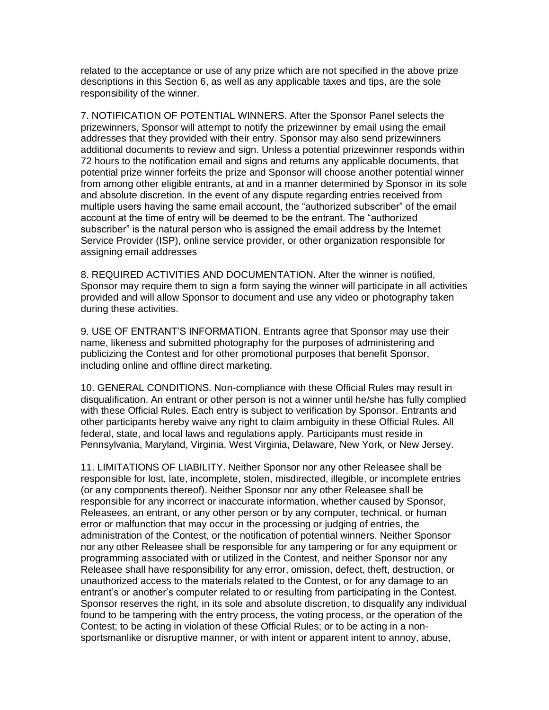related to the acceptance or use of any prize which are not specified in the above prize descriptions in this Section 6, as well as any applicable taxes and tips, are the sole responsibility of the winner.

 7. NOTIFICATION OF POTENTIAL WINNERS. After the Sponsor Panel selects the prizewinners, Sponsor will attempt to notify the prizewinner by email using the email addresses that they provided with their entry. Sponsor may also send prizewinners additional documents to review and sign. Unless a potential prizewinner responds within 72 hours to the notification email and signs and returns any applicable documents, that potential prize winner forfeits the prize and Sponsor will choose another potential winner from among other eligible entrants, at and in a manner determined by Sponsor in its sole and absolute discretion. In the event of any dispute regarding entries received from multiple users having the same email account, the "authorized subscriber" of the email account at the time of entry will be deemed to be the entrant. The "authorized subscriber" is the natural person who is assigned the email address by the Internet Service Provider (ISP), online service provider, or other organization responsible for assigning email addresses

 8. REQUIRED ACTIVITIES AND DOCUMENTATION. After the winner is notified, Sponsor may require them to sign a form saying the winner will participate in all activities provided and will allow Sponsor to document and use any video or photography taken during these activities.

 9. USE OF ENTRANT'S INFORMATION. Entrants agree that Sponsor may use their name, likeness and submitted photography for the purposes of administering and publicizing the Contest and for other promotional purposes that benefit Sponsor, including online and offline direct marketing.

 10. GENERAL CONDITIONS. Non-compliance with these Official Rules may result in disqualification. An entrant or other person is not a winner until he/she has fully complied with these Official Rules. Each entry is subject to verification by Sponsor. Entrants and other participants hereby waive any right to claim ambiguity in these Official Rules. All federal, state, and local laws and regulations apply. Participants must reside in Pennsylvania, Maryland, Virginia, West Virginia, Delaware, New York, or New Jersey.

 11. LIMITATIONS OF LIABILITY. Neither Sponsor nor any other Releasee shall be responsible for lost, late, incomplete, stolen, misdirected, illegible, or incomplete entries (or any components thereof). Neither Sponsor nor any other Releasee shall be responsible for any incorrect or inaccurate information, whether caused by Sponsor, Releasees, an entrant, or any other person or by any computer, technical, or human error or malfunction that may occur in the processing or judging of entries, the administration of the Contest, or the notification of potential winners. Neither Sponsor nor any other Releasee shall be responsible for any tampering or for any equipment or programming associated with or utilized in the Contest, and neither Sponsor nor any Releasee shall have responsibility for any error, omission, defect, theft, destruction, or unauthorized access to the materials related to the Contest, or for any damage to an entrant's or another's computer related to or resulting from participating in the Contest. Sponsor reserves the right, in its sole and absolute discretion, to disqualify any individual found to be tampering with the entry process, the voting process, or the operation of the Contest; to be acting in violation of these Official Rules; or to be acting in a non-sportsmanlike or disruptive manner, or with intent or apparent intent to annoy, abuse,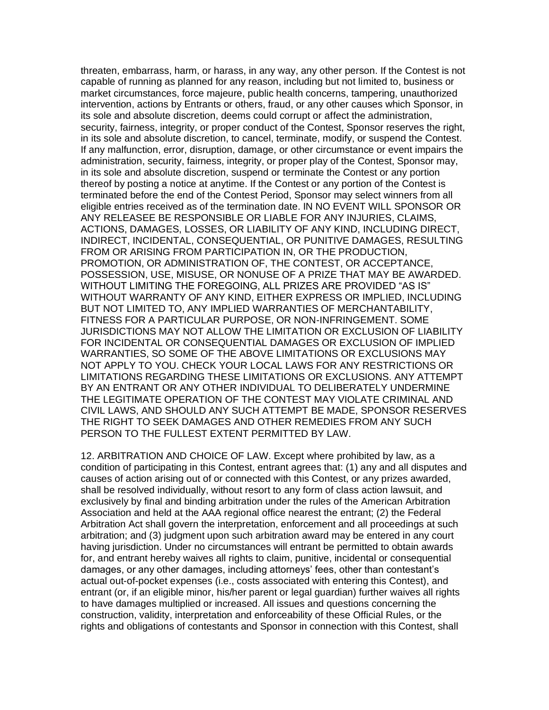threaten, embarrass, harm, or harass, in any way, any other person. If the Contest is not capable of running as planned for any reason, including but not limited to, business or market circumstances, force majeure, public health concerns, tampering, unauthorized intervention, actions by Entrants or others, fraud, or any other causes which Sponsor, in its sole and absolute discretion, deems could corrupt or affect the administration, security, fairness, integrity, or proper conduct of the Contest, Sponsor reserves the right, in its sole and absolute discretion, to cancel, terminate, modify, or suspend the Contest. If any malfunction, error, disruption, damage, or other circumstance or event impairs the administration, security, fairness, integrity, or proper play of the Contest, Sponsor may, in its sole and absolute discretion, suspend or terminate the Contest or any portion thereof by posting a notice at anytime. If the Contest or any portion of the Contest is terminated before the end of the Contest Period, Sponsor may select winners from all eligible entries received as of the termination date. IN NO EVENT WILL SPONSOR OR ANY RELEASEE BE RESPONSIBLE OR LIABLE FOR ANY INJURIES, CLAIMS, ACTIONS, DAMAGES, LOSSES, OR LIABILITY OF ANY KIND, INCLUDING DIRECT, INDIRECT, INCIDENTAL, CONSEQUENTIAL, OR PUNITIVE DAMAGES, RESULTING FROM OR ARISING FROM PARTICIPATION IN, OR THE PRODUCTION, PROMOTION, OR ADMINISTRATION OF, THE CONTEST, OR ACCEPTANCE, POSSESSION, USE, MISUSE, OR NONUSE OF A PRIZE THAT MAY BE AWARDED. WITHOUT LIMITING THE FOREGOING, ALL PRIZES ARE PROVIDED "AS IS" WITHOUT WARRANTY OF ANY KIND, EITHER EXPRESS OR IMPLIED, INCLUDING BUT NOT LIMITED TO, ANY IMPLIED WARRANTIES OF MERCHANTABILITY, FITNESS FOR A PARTICULAR PURPOSE, OR NON-INFRINGEMENT. SOME JURISDICTIONS MAY NOT ALLOW THE LIMITATION OR EXCLUSION OF LIABILITY FOR INCIDENTAL OR CONSEQUENTIAL DAMAGES OR EXCLUSION OF IMPLIED WARRANTIES, SO SOME OF THE ABOVE LIMITATIONS OR EXCLUSIONS MAY NOT APPLY TO YOU. CHECK YOUR LOCAL LAWS FOR ANY RESTRICTIONS OR LIMITATIONS REGARDING THESE LIMITATIONS OR EXCLUSIONS. ANY ATTEMPT BY AN ENTRANT OR ANY OTHER INDIVIDUAL TO DELIBERATELY UNDERMINE THE LEGITIMATE OPERATION OF THE CONTEST MAY VIOLATE CRIMINAL AND CIVIL LAWS, AND SHOULD ANY SUCH ATTEMPT BE MADE, SPONSOR RESERVES THE RIGHT TO SEEK DAMAGES AND OTHER REMEDIES FROM ANY SUCH PERSON TO THE FULLEST EXTENT PERMITTED BY LAW.

 12. ARBITRATION AND CHOICE OF LAW. Except where prohibited by law, as a condition of participating in this Contest, entrant agrees that: (1) any and all disputes and causes of action arising out of or connected with this Contest, or any prizes awarded, shall be resolved individually, without resort to any form of class action lawsuit, and exclusively by final and binding arbitration under the rules of the American Arbitration Association and held at the AAA regional office nearest the entrant; (2) the Federal Arbitration Act shall govern the interpretation, enforcement and all proceedings at such arbitration; and (3) judgment upon such arbitration award may be entered in any court having jurisdiction. Under no circumstances will entrant be permitted to obtain awards for, and entrant hereby waives all rights to claim, punitive, incidental or consequential damages, or any other damages, including attorneys' fees, other than contestant's actual out-of-pocket expenses (i.e., costs associated with entering this Contest), and entrant (or, if an eligible minor, his/her parent or legal guardian) further waives all rights to have damages multiplied or increased. All issues and questions concerning the construction, validity, interpretation and enforceability of these Official Rules, or the rights and obligations of contestants and Sponsor in connection with this Contest, shall